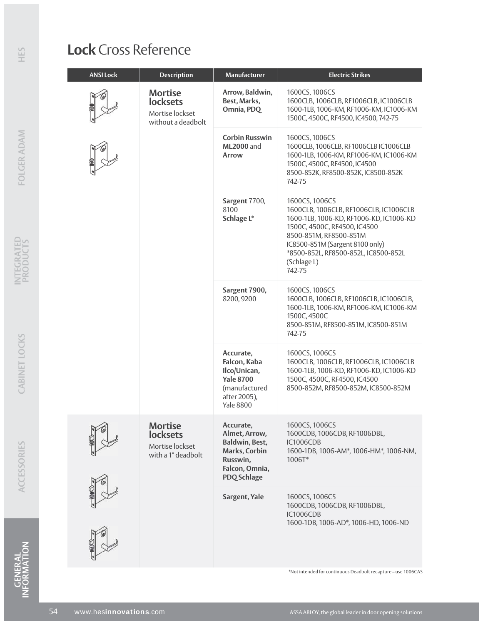## **Lock** Cross Reference

| <b>ANSI Lock</b> | <b>Description</b>                                                         | Manufacturer                                                                                                       | <b>Electric Strikes</b>                                                                                                                                                                                                                                           |
|------------------|----------------------------------------------------------------------------|--------------------------------------------------------------------------------------------------------------------|-------------------------------------------------------------------------------------------------------------------------------------------------------------------------------------------------------------------------------------------------------------------|
|                  | <b>Mortise</b><br><b>locksets</b><br>Mortise lockset<br>without a deadbolt | Arrow, Baldwin,<br>Best, Marks,<br>Omnia, PDQ                                                                      | 1600CS, 1006CS<br>1600CLB, 1006CLB, RF1006CLB, IC1006CLB<br>1600-1LB, 1006-KM, RF1006-KM, IC1006-KM<br>1500C, 4500C, RF4500, IC4500, 742-75                                                                                                                       |
|                  |                                                                            | <b>Corbin Russwin</b><br><b>ML2000</b> and<br>Arrow                                                                | 1600CS, 1006CS<br>1600CLB, 1006CLB, RF1006CLB IC1006CLB<br>1600-1LB, 1006-KM, RF1006-KM, IC1006-KM<br>1500C, 4500C, RF4500, IC4500<br>8500-852K, RF8500-852K, IC8500-852K<br>742-75                                                                               |
|                  |                                                                            | Sargent 7700,<br>8100<br>Schlage L*                                                                                | 1600CS, 1006CS<br>1600CLB, 1006CLB, RF1006CLB, IC1006CLB<br>1600-1LB, 1006-KD, RF1006-KD, IC1006-KD<br>1500C, 4500C, RF4500, IC4500<br>8500-851M, RF8500-851M<br>IC8500-851M (Sargent 8100 only)<br>*8500-852L, RF8500-852L, IC8500-852L<br>(Schlage L)<br>742-75 |
|                  |                                                                            | Sargent 7900,<br>8200, 9200                                                                                        | 1600CS, 1006CS<br>1600CLB, 1006CLB, RF1006CLB, IC1006CLB,<br>1600-1LB, 1006-KM, RF1006-KM, IC1006-KM<br>1500C, 4500C<br>8500-851M, RF8500-851M, IC8500-851M<br>742-75                                                                                             |
|                  |                                                                            | Accurate,<br>Falcon, Kaba<br>Ilco/Unican,<br><b>Yale 8700</b><br>(manufactured<br>after 2005),<br><b>Yale 8800</b> | 1600CS, 1006CS<br>1600CLB, 1006CLB, RF1006CLB, IC1006CLB<br>1600-1LB, 1006-KD, RF1006-KD, IC1006-KD<br>1500C, 4500C, RF4500, IC4500<br>8500-852M, RF8500-852M, IC8500-852M                                                                                        |
|                  | <b>Mortise</b><br><b>locksets</b><br>Mortise lockset<br>with a 1" deadbolt | Accurate,<br>Almet, Arrow,<br>Baldwin, Best,<br>Marks, Corbin<br>Russwin,<br>Falcon, Omnia,<br><b>PDQ Schlage</b>  | 1600CS, 1006CS<br>1600CDB, 1006CDB, RF1006DBL,<br><b>IC1006CDB</b><br>1600-1DB, 1006-AM*, 1006-HM*, 1006-NM,<br>1006T*                                                                                                                                            |
|                  |                                                                            | Sargent, Yale                                                                                                      | 1600CS, 1006CS<br>1600CDB, 1006CDB, RF1006DBL,<br>IC1006CDB<br>1600-1DB, 1006-AD*, 1006-HD, 1006-ND                                                                                                                                                               |

\*Not intended for continuous Deadbolt recapture – use 1006CAS

**GENERAL**<br>INFORMATION